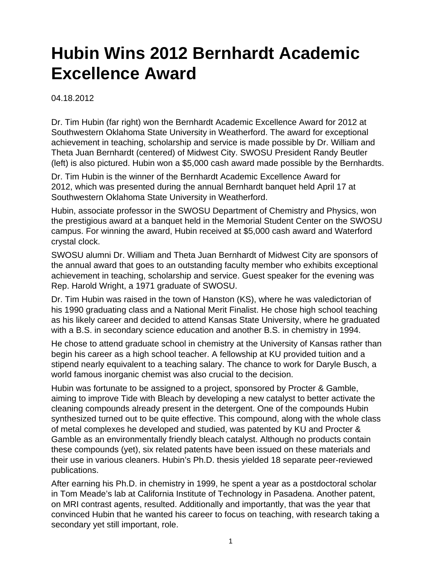## **Hubin Wins 2012 Bernhardt Academic Excellence Award**

04.18.2012

Dr. Tim Hubin (far right) won the Bernhardt Academic Excellence Award for 2012 at Southwestern Oklahoma State University in Weatherford. The award for exceptional achievement in teaching, scholarship and service is made possible by Dr. William and Theta Juan Bernhardt (centered) of Midwest City. SWOSU President Randy Beutler (left) is also pictured. Hubin won a \$5,000 cash award made possible by the Bernhardts.

Dr. Tim Hubin is the winner of the Bernhardt Academic Excellence Award for 2012, which was presented during the annual Bernhardt banquet held April 17 at Southwestern Oklahoma State University in Weatherford.

Hubin, associate professor in the SWOSU Department of Chemistry and Physics, won the prestigious award at a banquet held in the Memorial Student Center on the SWOSU campus. For winning the award, Hubin received at \$5,000 cash award and Waterford crystal clock.

SWOSU alumni Dr. William and Theta Juan Bernhardt of Midwest City are sponsors of the annual award that goes to an outstanding faculty member who exhibits exceptional achievement in teaching, scholarship and service. Guest speaker for the evening was Rep. Harold Wright, a 1971 graduate of SWOSU.

Dr. Tim Hubin was raised in the town of Hanston (KS), where he was valedictorian of his 1990 graduating class and a National Merit Finalist. He chose high school teaching as his likely career and decided to attend Kansas State University, where he graduated with a B.S. in secondary science education and another B.S. in chemistry in 1994.

He chose to attend graduate school in chemistry at the University of Kansas rather than begin his career as a high school teacher. A fellowship at KU provided tuition and a stipend nearly equivalent to a teaching salary. The chance to work for Daryle Busch, a world famous inorganic chemist was also crucial to the decision.

Hubin was fortunate to be assigned to a project, sponsored by Procter & Gamble, aiming to improve Tide with Bleach by developing a new catalyst to better activate the cleaning compounds already present in the detergent. One of the compounds Hubin synthesized turned out to be quite effective. This compound, along with the whole class of metal complexes he developed and studied, was patented by KU and Procter & Gamble as an environmentally friendly bleach catalyst. Although no products contain these compounds (yet), six related patents have been issued on these materials and their use in various cleaners. Hubin's Ph.D. thesis yielded 18 separate peer-reviewed publications.

After earning his Ph.D. in chemistry in 1999, he spent a year as a postdoctoral scholar in Tom Meade's lab at California Institute of Technology in Pasadena. Another patent, on MRI contrast agents, resulted. Additionally and importantly, that was the year that convinced Hubin that he wanted his career to focus on teaching, with research taking a secondary yet still important, role.